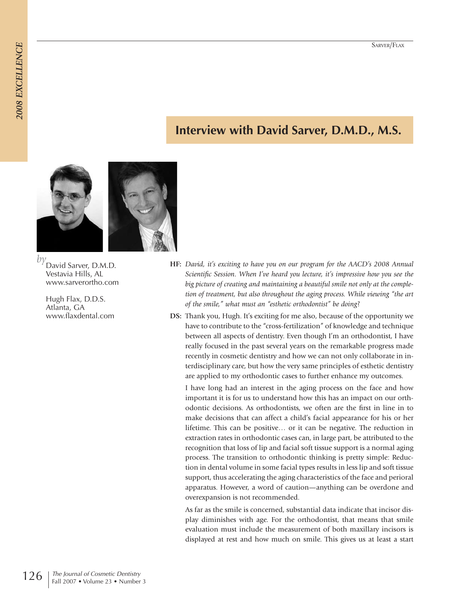# **Interview with David Sarver, D.M.D., M.S.**



*by* David Sarver, D.M.D. Vestavia Hills, AL www.sarverortho.com

> Hugh Flax, D.D.S. Atlanta, GA www.flaxdental.com

- **HF:** *David, it's exciting to have you on our program for the AACD's 2008 Annual Scientific Session. When I've heard you lecture, it's impressive how you see the big picture of creating and maintaining a beautiful smile not only at the completion of treatment, but also throughout the aging process. While viewing "the art of the smile," what must an "esthetic orthodontist" be doing*?
- **DS:** Thank you, Hugh. It's exciting for me also, because of the opportunity we have to contribute to the "cross-fertilization" of knowledge and technique between all aspects of dentistry. Even though I'm an orthodontist, I have really focused in the past several years on the remarkable progress made recently in cosmetic dentistry and how we can not only collaborate in interdisciplinary care, but how the very same principles of esthetic dentistry are applied to my orthodontic cases to further enhance my outcomes.

I have long had an interest in the aging process on the face and how important it is for us to understand how this has an impact on our orthodontic decisions. As orthodontists, we often are the first in line in to make decisions that can affect a child's facial appearance for his or her lifetime. This can be positive… or it can be negative. The reduction in extraction rates in orthodontic cases can, in large part, be attributed to the recognition that loss of lip and facial soft tissue support is a normal aging process. The transition to orthodontic thinking is pretty simple: Reduction in dental volume in some facial types results in less lip and soft tissue support, thus accelerating the aging characteristics of the face and perioral apparatus. However, a word of caution—anything can be overdone and overexpansion is not recommended.

As far as the smile is concerned, substantial data indicate that incisor display diminishes with age. For the orthodontist, that means that smile evaluation must include the measurement of both maxillary incisors is displayed at rest and how much on smile. This gives us at least a start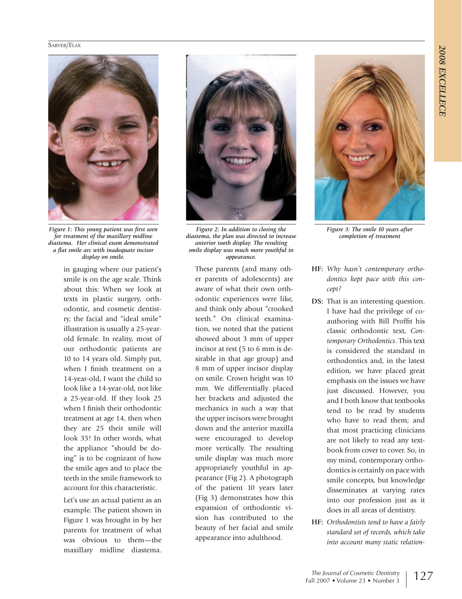

*Figure 1: This young patient was first seen for treatment of the maxillary midline diastema. Her clinical exam demonstrated a flat smile arc with inadequate incisor display on smile.*

in gauging where our patient's smile is on the age scale. Think about this: When we look at texts in plastic surgery, orthodontic, and cosmetic dentistry, the facial and "ideal smile" illustration is usually a 25-yearold female. In reality, most of our orthodontic patients are 10 to 14 years old. Simply put, when I finish treatment on a 14-year-old, I want the child to look like a 14-year-old, not like a 25-year-old. If they look 25 when I finish their orthodontic treatment at age 14, then when they are 25 their smile will look 35! In other words, what the appliance "should be doing" is to be cognizant of how the smile ages and to place the teeth in the smile framework to account for this characteristic.

Let's use an actual patient as an example. The patient shown in Figure 1 was brought in by her parents for treatment of what was obvious to them—the maxillary midline diastema.



*Figure 2: In addition to closing the diastema, the plan was directed to increase anterior tooth display. The resulting smile display was much more youthful in appearance.* 

These parents (and many other parents of adolescents) are aware of what their own orthodontic experiences were like, and think only about "crooked teeth." On clinical examination, we noted that the patient showed about 3 mm of upper incisor at rest (5 to 6 mm is desirable in that age group) and 8 mm of upper incisor display on smile. Crown height was 10 mm. We differentially placed her brackets and adjusted the mechanics in such a way that the upper incisors were brought down and the anterior maxilla were encouraged to develop more vertically. The resulting smile display was much more appropriately youthful in appearance (Fig 2). A photograph of the patient 10 years later (Fig 3) demonstrates how this expansion of orthodontic vision has contributed to the beauty of her facial and smile appearance into adulthood.



*Figure 3: The smile 10 years after completion of treatment* 

- **HF:** *Why hasn't contemporary orthodontics kept pace with this concept?*
- **DS:** That is an interesting question. I have had the privilege of coauthoring with Bill Proffit his classic orthodontic text, *Contemporary Orthodontics*. This text is considered the standard in orthodontics and, in the latest edition, we have placed great emphasis on the issues we have just discussed. However, you and I both know that textbooks tend to be read by students who have to read them; and that most practicing clinicians are not likely to read any textbook from cover to cover. So, in my mind, contemporary orthodontics is certainly on pace with smile concepts, but knowledge disseminates at varying rates into our profession just as it does in all areas of dentistry.
- **HF:** *Orthodontists tend to have a fairly standard set of records, which take into account many static relation-*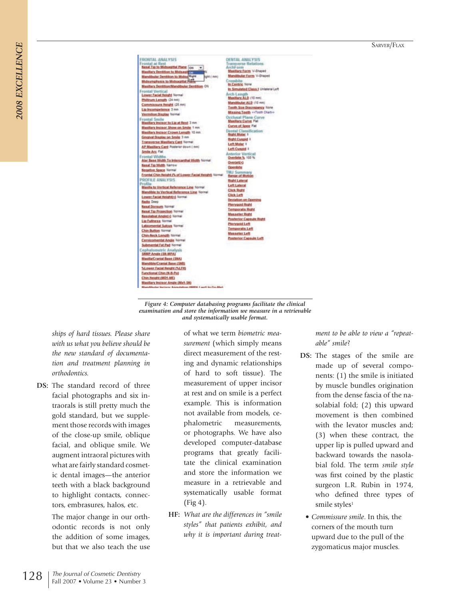| <b>FRONTAL ANALYSIS</b>                                                          | DENTAL ANALYSIS                                         |
|----------------------------------------------------------------------------------|---------------------------------------------------------|
| Frontal at Rest                                                                  | Transverse Relations<br>ArchForm                        |
| Nasal Tip to Midsagittal Plane on<br>$\bullet$<br>Maxillary Dentition to Midsage | <b>Maxillery Form V-Shaped</b>                          |
| Mandibular Dentition to Miday Right<br>Limm 1 Mg                                 | <b>Mandibular Form V-Shaped</b>                         |
| Midsymphysis to Midsagittal Fiam                                                 | Crossbite                                               |
| Maxiliary Dentition/Mandibular Dentition ON                                      | In Centric Note                                         |
| <b>Frontal Vertical</b>                                                          | In Simulated Class J Unialeral Left                     |
| Lower Facial Height Normal                                                       | Arch Length                                             |
| Philfrum Length (24 mm)                                                          | Maxillary ALD (12 mm)                                   |
| Commissure Height (25 mm)                                                        | Mandibular ALD (10 mm)                                  |
| Lip Incompetence 3 mm                                                            | Tooth Size Discrepancy Note                             |
| Vermilion Display Tormal                                                         | Missing Teeth << Tooth Charting                         |
| Frontal Smile<br>Maxillary Incisor to Lip at Rest 3 nm                           | Occlosal Plane Curve<br><b>Maxillary Curve Flat</b>     |
| Masifiary Incisor Show on Smile 1 mm                                             | Curve of Spee Fiat                                      |
| Maxillary Inclase Crown Length 10 mm                                             | Dental Classification                                   |
| Gingival Draglay on Smile 3 nm                                                   | <b>Regist Moder 1</b><br><b>Bight Civilipid</b>         |
| <b>Transverse Maxiliary Card Normal</b>                                          | <b>Left Molar #</b>                                     |
| AP Maxillary Card Posterior down ( mm)                                           | Left Cuspid 1                                           |
| Smile Arc Fiat                                                                   | Anterior Vertical                                       |
| Frontal Widths                                                                   | Overfalte % 100 %                                       |
| Alar Base Width To Intercanthal Width Normal                                     | Overjet(+)                                              |
| <b>Nasal Tip Width Narrow</b>                                                    | Openbrig                                                |
| <b>Hegative Space Normal</b>                                                     | <b>TMJ Summary</b>                                      |
| Frontal Chin Reight (% of Lower Facial Reight) Normal                            | Range of Motion                                         |
| PROFILE ANALYSIS<br>Profile                                                      | <b>Right Lateral</b>                                    |
| Maxilla to Vertical Reference Line Normal                                        | <b>Left Lateral</b>                                     |
| Mandible to Vertical Reference Line Normal                                       | <b>Click Right</b>                                      |
| Lower Facial Height(+) Termal                                                    | <b>Click Left</b>                                       |
| <b>Redix Deep</b>                                                                | Deviation on Operang                                    |
| <b>Nasal Dorsum Normal</b>                                                       | <b>Photygord Right</b>                                  |
| <b>Nasal Tip Projection Namal</b>                                                | Temporalis Right                                        |
| <b>Nationalist Angle(+) National</b>                                             | <b>Masseter Right</b><br><b>Posterior Capsule Right</b> |
| Lip Fullmess Normal                                                              | <b>Plenygoid Left</b>                                   |
| Labiomental Sulcus fibrital                                                      | Temporalis Left                                         |
| <b>Chin Button Normal</b>                                                        | <b>Masseter Left</b>                                    |
| Chin-Neck Length Normal                                                          | <b>Posterior Capsule Left</b>                           |
| Cervicomental Angle Namal                                                        |                                                         |
| Submental Fat Pad Normal                                                         |                                                         |
| Cephalometric Analysis<br>SAMP Angle (SN MPA)                                    |                                                         |
| Maxilla/Cranial Base (SNA)                                                       |                                                         |
| Mandible/Cramial Base (SNB)                                                      |                                                         |
| SLower Facial Reight (SLFR)                                                      |                                                         |
| Functional Chin (N-B-Po)                                                         |                                                         |
| Chin Reight (MD1-ME)                                                             |                                                         |
| Maximum buttons Apple (May), 1911                                                |                                                         |

*Figure 4: Computer databasing programs facilitate the clinical examination and store the information we measure in a retrievable and systematically usable format.*

*ships of hard tissues. Please share with us what you believe should be the new standard of documentation and treatment planning in orthodontics.*

**DS:** The standard record of three facial photographs and six intraorals is still pretty much the gold standard, but we supplement those records with images of the close-up smile, oblique facial, and oblique smile. We augment intraoral pictures with what are fairly standard cosmetic dental images—the anterior teeth with a black background to highlight contacts, connectors, embrasures, halos, etc.

> The major change in our orthodontic records is not only the addition of some images, but that we also teach the use

of what we term *biometric measurement* (which simply means direct measurement of the resting and dynamic relationships of hard to soft tissue). The measurement of upper incisor at rest and on smile is a perfect example. This is information not available from models, cephalometric measurements, or photographs. We have also developed computer-database programs that greatly facilitate the clinical examination and store the information we measure in a retrievable and systematically usable format (Fig 4).

**HF:** *What are the differences in "smile styles" that patients exhibit, and why it is important during treat-* *ment to be able to view a "repeatable" smile*?

- **DS:** The stages of the smile are made up of several components: (1) the smile is initiated by muscle bundles origination from the dense fascia of the nasolabial fold; (2) this upward movement is then combined with the levator muscles and; (3) when these contract, the upper lip is pulled upward and backward towards the nasolabial fold. The term *smile style* was first coined by the plastic surgeon L.R. Rubin in 1974, who defined three types of smile styles<sup>1</sup>
- • *Commissure smile*. In this, the corners of the mouth turn upward due to the pull of the zygomaticus major muscles.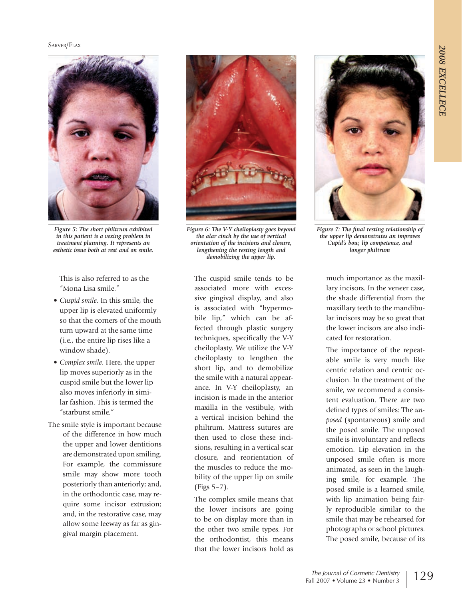

*Figure 5: The short philtrum exhibited in this patient is a vexing problem in treatment planning. It represents an esthetic issue both at rest and on smile.* 

This is also referred to as the "Mona Lisa smile."

- • *Cuspid smile*. In this smile, the upper lip is elevated uniformly so that the corners of the mouth turn upward at the same time (i.e., the entire lip rises like a window shade).
- • *Complex smile*. Here, the upper lip moves superiorly as in the cuspid smile but the lower lip also moves inferiorly in similar fashion. This is termed the "starburst smile."
- The smile style is important because of the difference in how much the upper and lower dentitions are demonstrated upon smiling. For example, the commissure smile may show more tooth posteriorly than anteriorly; and, in the orthodontic case, may require some incisor extrusion; and, in the restorative case, may allow some leeway as far as gingival margin placement.



*Figure 6: The V-Y cheiloplasty goes beyond the alar cinch by the use of vertical orientation of the incisions and closure, lengthening the resting length and demobilizing the upper lip.*

The cuspid smile tends to be associated more with excessive gingival display, and also is associated with "hypermobile lip," which can be affected through plastic surgery techniques, specifically the V-Y cheiloplasty. We utilize the V-Y cheiloplasty to lengthen the short lip, and to demobilize the smile with a natural appearance. In V-Y cheiloplasty, an incision is made in the anterior maxilla in the vestibule, with a vertical incision behind the philtrum. Mattress sutures are then used to close these incisions, resulting in a vertical scar closure, and reorientation of the muscles to reduce the mobility of the upper lip on smile (Figs 5–7).

The complex smile means that the lower incisors are going to be on display more than in the other two smile types. For the orthodontist, this means that the lower incisors hold as



*Figure 7: The final resting relationship of the upper lip demonstrates an improves Cupid's bow, lip competence, and longer philtrum*

much importance as the maxillary incisors. In the veneer case, the shade differential from the maxillary teeth to the mandibular incisors may be so great that the lower incisors are also indicated for restoration.

The importance of the repeatable smile is very much like centric relation and centric occlusion. In the treatment of the smile, we recommend a consistent evaluation. There are two defined types of smiles: The *unposed* (spontaneous) smile and the posed smile. The unposed smile is involuntary and reflects emotion. Lip elevation in the unposed smile often is more animated, as seen in the laughing smile, for example. The posed smile is a learned smile, with lip animation being fairly reproducible similar to the smile that may be rehearsed for photographs or school pictures. The posed smile, because of its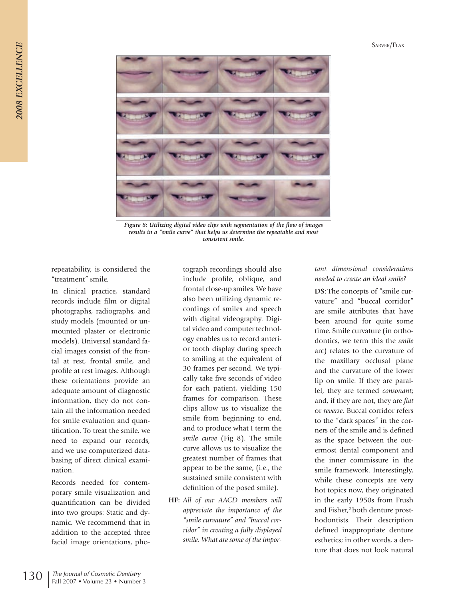

*Figure 8: Utilizing digital video clips with segmentation of the flow of images results in a "smile curve" that helps us determine the repeatable and most consistent smile.*

repeatability, is considered the "treatment" smile.

In clinical practice, standard records include film or digital photographs, radiographs, and study models (mounted or unmounted plaster or electronic models). Universal standard facial images consist of the frontal at rest, frontal smile, and profile at rest images. Although these orientations provide an adequate amount of diagnostic information, they do not contain all the information needed for smile evaluation and quantification. To treat the smile, we need to expand our records, and we use computerized databasing of direct clinical examination.

Records needed for contemporary smile visualization and quantification can be divided into two groups: Static and dynamic. We recommend that in addition to the accepted three facial image orientations, pho-

tograph recordings should also include profile, oblique, and frontal close-up smiles. We have also been utilizing dynamic recordings of smiles and speech with digital videography. Digital video and computer technology enables us to record anterior tooth display during speech to smiling at the equivalent of 30 frames per second. We typically take five seconds of video for each patient, yielding 150 frames for comparison. These clips allow us to visualize the smile from beginning to end, and to produce what I term the *smile curve* (Fig 8). The smile curve allows us to visualize the greatest number of frames that appear to be the same, (i.e., the sustained smile consistent with definition of the posed smile).

**HF:** *All of our AACD members will appreciate the importance of the "smile curvature" and "buccal corridor" in creating a fully displayed smile. What are some of the impor-*

# *tant dimensional considerations needed to create an ideal smile*?

**DS:** The concepts of "smile curvature" and "buccal corridor" are smile attributes that have been around for quite some time. Smile curvature (in orthodontics, we term this the *smile* arc) relates to the curvature of the maxillary occlusal plane and the curvature of the lower lip on smile. If they are parallel, they are termed *consonant*; and, if they are not, they are *flat* or *reverse*. Buccal corridor refers to the "dark spaces" in the corners of the smile and is defined as the space between the outermost dental component and the inner commissure in the smile framework. Interestingly, while these concepts are very hot topics now, they originated in the early 1950s from Frush and Fisher,<sup>2</sup> both denture prosthodontists. Their description defined inappropriate denture esthetics; in other words, a denture that does not look natural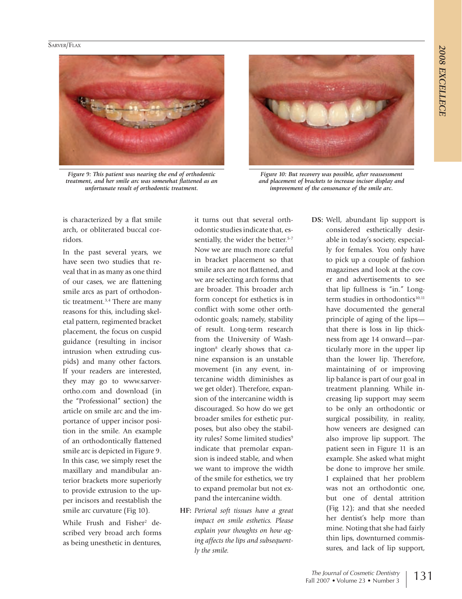

*Figure 9: This patient was nearing the end of orthodontic treatment, and her smile arc was somewhat flattened as an unfortunate result of orthodontic treatment.*



*Figure 10: But recovery was possible, after reassessment and placement of brackets to increase incisor display and improvement of the consonance of the smile arc.* 

is characterized by a flat smile arch, or obliterated buccal corridors.

In the past several years, we have seen two studies that reveal that in as many as one third of our cases, we are flattening smile arcs as part of orthodontic treatment.3,4 There are many reasons for this, including skeletal pattern, regimented bracket placement, the focus on cuspid guidance (resulting in incisor intrusion when extruding cuspids) and many other factors. If your readers are interested, they may go to www.sarverortho.com and download (in the "Professional" section) the article on smile arc and the importance of upper incisor position in the smile. An example of an orthodontically flattened smile arc is depicted in Figure 9. In this case, we simply reset the maxillary and mandibular anterior brackets more superiorly to provide extrusion to the upper incisors and reestablish the smile arc curvature (Fig 10). While Frush and Fisher<sup>2</sup> described very broad arch forms as being unesthetic in dentures,

it turns out that several orthodontic studies indicate that, essentially, the wider the better.<sup>5-7</sup> Now we are much more careful in bracket placement so that smile arcs are not flattened, and we are selecting arch forms that are broader. This broader arch form concept for esthetics is in conflict with some other orthodontic goals; namely, stability of result. Long-term research from the University of Washington<sup>8</sup> clearly shows that canine expansion is an unstable movement (in any event, intercanine width diminishes as we get older). Therefore, expansion of the intercanine width is discouraged. So how do we get broader smiles for esthetic purposes, but also obey the stability rules? Some limited studies<sup>9</sup> indicate that premolar expansion is indeed stable, and when we want to improve the width of the smile for esthetics, we try to expand premolar but not expand the intercanine width.

**HF:** *Perioral soft tissues have a great impact on smile esthetics. Please explain your thoughts on how aging affects the lips and subsequently the smile.*

**DS:** Well, abundant lip support is considered esthetically desirable in today's society, especially for females. You only have to pick up a couple of fashion magazines and look at the cover and advertisements to see that lip fullness is "in." Longterm studies in orthodontics<sup>10,11</sup> have documented the general principle of aging of the lips that there is loss in lip thickness from age 14 onward—particularly more in the upper lip than the lower lip. Therefore, maintaining of or improving lip balance is part of our goal in treatment planning. While increasing lip support may seem to be only an orthodontic or surgical possibility, in reality, how veneers are designed can also improve lip support. The patient seen in Figure 11 is an example. She asked what might be done to improve her smile. I explained that her problem was not an orthodontic one, but one of dental attrition (Fig 12); and that she needed her dentist's help more than mine. Noting that she had fairly thin lips, downturned commissures, and lack of lip support,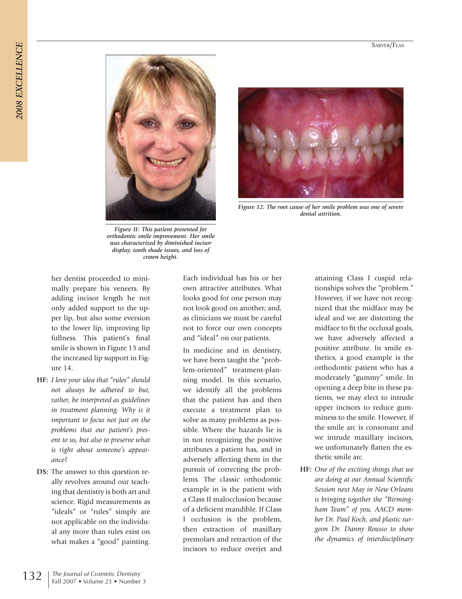



*Figure 12: The root cause of her smile problem was one of severe dental attrition.* 

*Figure 11: This patient presented for orthodontic smile improvement. Her smile was characterized by diminished incisor display, tooth shade issues, and loss of crown height.*

her dentist proceeded to minimally prepare his veneers. By adding incisor length he not only added support to the upper lip, but also some eversion to the lower lip, improving lip fullness. This patient's final smile is shown in Figure 13 and the increased lip support in Figure 14.

- **HF:** *I love your idea that "rules" should not always be adhered to but, rather, be interpreted as guidelines in treatment planning. Why is it important to focus not just on the problems that our patient's present to us, but also to preserve what is right about someone's appearance*?
- **DS:** The answer to this question really revolves around our teaching that dentistry is both art and science. Rigid measurements as "ideals" or "rules" simply are not applicable on the individual any more than rules exist on what makes a "good" painting.

Each individual has his or her own attractive attributes. What looks good for one person may not look good on another; and, as clinicians we must be careful not to force our own concepts and "ideal" on our patients.

In medicine and in dentistry, we have been taught the "problem-oriented" treatment-planning model. In this scenario, we identify all the problems that the patient has and then execute a treatment plan to solve as many problems as possible. Where the hazards lie is in not recognizing the positive attributes a patient has, and in adversely affecting them in the pursuit of correcting the problems. The classic orthodontic example in is the patient with a Class II malocclusion because of a deficient mandible. If Class I occlusion is the problem, then extraction of maxillary premolars and retraction of the incisors to reduce overjet and attaining Class I cuspid relationships solves the "problem." However, if we have not recognized that the midface may be ideal and we are distorting the midface to fit the occlusal goals, we have adversely affected a positive attribute. In smile esthetics, a good example is the orthodontic patient who has a moderately "gummy" smile. In opening a deep bite in these patients, we may elect to intrude upper incisors to reduce gumminess to the smile. However, if the smile arc is consonant and we intrude maxillary incisors, we unfortunately flatten the esthetic smile arc.

**HF:** *One of the exciting things that we are doing at our Annual Scientific Session next May in New Orleans is bringing together the "Birmingham Team" of you, AACD member Dr. Paul Koch, and plastic surgeon Dr. Danny Rousso to show the dynamics of interdisciplinary*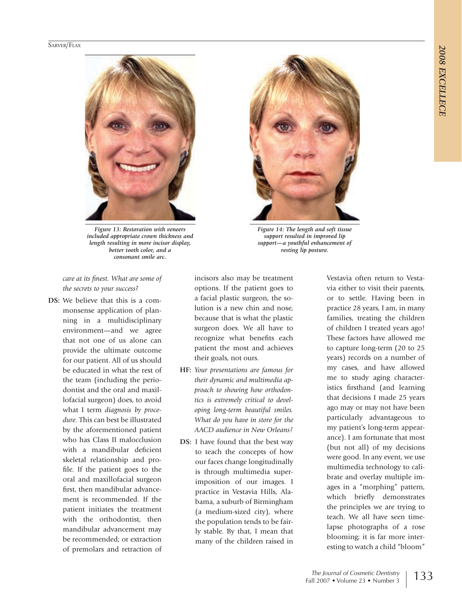

*Figure 13: Restoration with veneers included appropriate crown thickness and length resulting in more incisor display, better tooth color, and a consonant smile arc.* 



*Figure 14: The length and soft tissue support resulted in improved lip support—a youthful enhancement of resting lip posture.*

*care at its finest. What are some of the secrets to your success*?

**DS:** We believe that this is a commonsense application of planning in a multidisciplinary environment—and we agree that not one of us alone can provide the ultimate outcome for our patient. All of us should be educated in what the rest of the team (including the periodontist and the oral and maxillofacial surgeon) does, to avoid what I term *diagnosis by procedure*. This can best be illustrated by the aforementioned patient who has Class II malocclusion with a mandibular deficient skeletal relationship and profile. If the patient goes to the oral and maxillofacial surgeon first, then mandibular advancement is recommended. If the patient initiates the treatment with the orthodontist, then mandibular advancement may be recommended; or extraction of premolars and retraction of

incisors also may be treatment options. If the patient goes to a facial plastic surgeon, the solution is a new chin and nose, because that is what the plastic surgeon does. We all have to recognize what benefits each patient the most and achieves their goals, not ours.

- **HF:** *Your presentations are famous for their dynamic and multimedia approach to showing how orthodontics is extremely critical to developing long-term beautiful smiles. What do you have in store for the AACD audience in New Orleans?*
- **DS:** I have found that the best way to teach the concepts of how our faces change longitudinally is through multimedia superimposition of our images. I practice in Vestavia Hills, Alabama, a suburb of Birmingham (a medium-sized city), where the population tends to be fairly stable. By that, I mean that many of the children raised in

Vestavia often return to Vestavia either to visit their parents, or to settle. Having been in practice 28 years, I am, in many families, treating the children of children I treated years ago! These factors have allowed me to capture long-term (20 to 25 years) records on a number of my cases, and have allowed me to study aging characteristics firsthand (and learning that decisions I made 25 years ago may or may not have been particularly advantageous to my patient's long-term appearance). I am fortunate that most (but not all) of my decisions were good. In any event, we use multimedia technology to calibrate and overlay multiple images in a "morphing" pattern, which briefly demonstrates the principles we are trying to teach. We all have seen timelapse photographs of a rose blooming; it is far more interesting to watch a child "bloom"